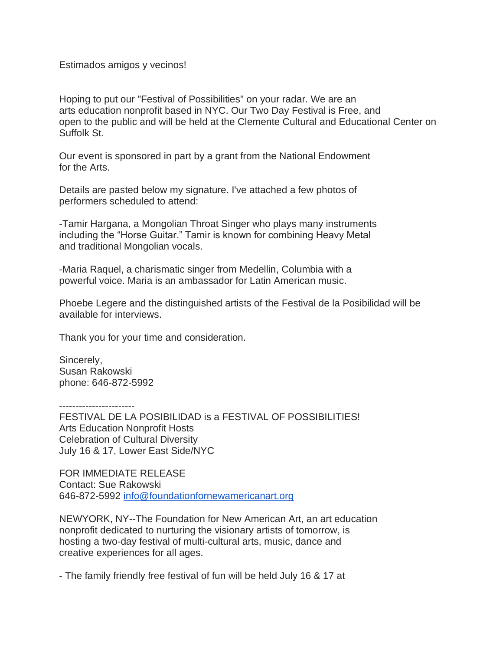Estimados amigos y vecinos!

Hoping to put our "Festival of Possibilities" on your radar. We are an arts education nonprofit based in NYC. Our Two Day Festival is Free, and open to the public and will be held at the Clemente Cultural and Educational Center on Suffolk St.

Our event is sponsored in part by a grant from the National Endowment for the Arts.

Details are pasted below my signature. I've attached a few photos of performers scheduled to attend:

-Tamir Hargana, a Mongolian Throat Singer who plays many instruments including the "Horse Guitar." Tamir is known for combining Heavy Metal and traditional Mongolian vocals.

-Maria Raquel, a charismatic singer from Medellin, Columbia with a powerful voice. Maria is an ambassador for Latin American music.

Phoebe Legere and the distinguished artists of the Festival de la Posibilidad will be available for interviews.

Thank you for your time and consideration.

Sincerely, Susan Rakowski phone: 646-872-5992

-----------------------

FESTIVAL DE LA POSIBILIDAD is a FESTIVAL OF POSSIBILITIES! Arts Education Nonprofit Hosts Celebration of Cultural Diversity July 16 & 17, Lower East Side/NYC

FOR IMMEDIATE RELEASE Contact: Sue Rakowski 646-872-5992 [info@foundationfornewamericanart.org](mailto:info@foundationfornewamericanart.org)

NEWYORK, NY--The Foundation for New American Art, an art education nonprofit dedicated to nurturing the visionary artists of tomorrow, is hosting a two-day festival of multi-cultural arts, music, dance and creative experiences for all ages.

- The family friendly free festival of fun will be held July 16 & 17 at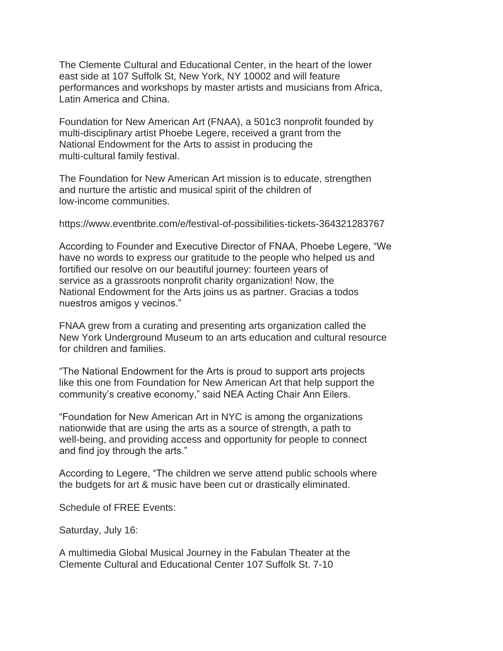The Clemente Cultural and Educational Center, in the heart of the lower east side at 107 Suffolk St, New York, NY 10002 and will feature performances and workshops by master artists and musicians from Africa, Latin America and China.

Foundation for New American Art (FNAA), a 501c3 nonprofit founded by multi-disciplinary artist Phoebe Legere, received a grant from the National Endowment for the Arts to assist in producing the multi-cultural family festival.

The Foundation for New American Art mission is to educate, strengthen and nurture the artistic and musical spirit of the children of low-income communities.

https://www.eventbrite.com/e/festival-of-possibilities-tickets-364321283767

According to Founder and Executive Director of FNAA, Phoebe Legere, "We have no words to express our gratitude to the people who helped us and fortified our resolve on our beautiful journey: fourteen years of service as a grassroots nonprofit charity organization! Now, the National Endowment for the Arts joins us as partner. Gracias a todos nuestros amigos y vecinos."

FNAA grew from a curating and presenting arts organization called the New York Underground Museum to an arts education and cultural resource for children and families.

"The National Endowment for the Arts is proud to support arts projects like this one from Foundation for New American Art that help support the community's creative economy," said NEA Acting Chair Ann Eilers.

"Foundation for New American Art in NYC is among the organizations nationwide that are using the arts as a source of strength, a path to well-being, and providing access and opportunity for people to connect and find joy through the arts."

According to Legere, "The children we serve attend public schools where the budgets for art & music have been cut or drastically eliminated.

Schedule of FREE Events:

Saturday, July 16:

A multimedia Global Musical Journey in the Fabulan Theater at the Clemente Cultural and Educational Center 107 Suffolk St. 7-10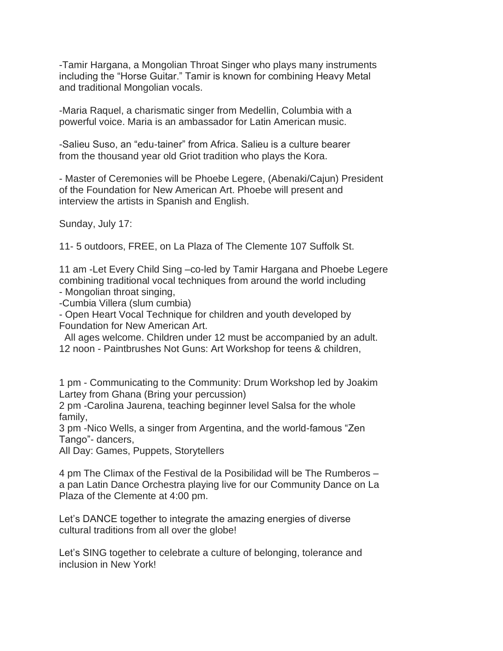-Tamir Hargana, a Mongolian Throat Singer who plays many instruments including the "Horse Guitar." Tamir is known for combining Heavy Metal and traditional Mongolian vocals.

-Maria Raquel, a charismatic singer from Medellin, Columbia with a powerful voice. Maria is an ambassador for Latin American music.

-Salieu Suso, an "edu-tainer" from Africa. Salieu is a culture bearer from the thousand year old Griot tradition who plays the Kora.

- Master of Ceremonies will be Phoebe Legere, (Abenaki/Cajun) President of the Foundation for New American Art. Phoebe will present and interview the artists in Spanish and English.

Sunday, July 17:

11- 5 outdoors, FREE, on La Plaza of The Clemente 107 Suffolk St.

11 am -Let Every Child Sing –co-led by Tamir Hargana and Phoebe Legere combining traditional vocal techniques from around the world including

- Mongolian throat singing,

-Cumbia Villera (slum cumbia)

- Open Heart Vocal Technique for children and youth developed by Foundation for New American Art.

All ages welcome. Children under 12 must be accompanied by an adult. 12 noon - Paintbrushes Not Guns: Art Workshop for teens & children,

1 pm - Communicating to the Community: Drum Workshop led by Joakim Lartey from Ghana (Bring your percussion)

2 pm -Carolina Jaurena, teaching beginner level Salsa for the whole family,

3 pm -Nico Wells, a singer from Argentina, and the world-famous "Zen Tango"- dancers,

All Day: Games, Puppets, Storytellers

4 pm The Climax of the Festival de la Posibilidad will be The Rumberos – a pan Latin Dance Orchestra playing live for our Community Dance on La Plaza of the Clemente at 4:00 pm.

Let's DANCE together to integrate the amazing energies of diverse cultural traditions from all over the globe!

Let's SING together to celebrate a culture of belonging, tolerance and inclusion in New York!